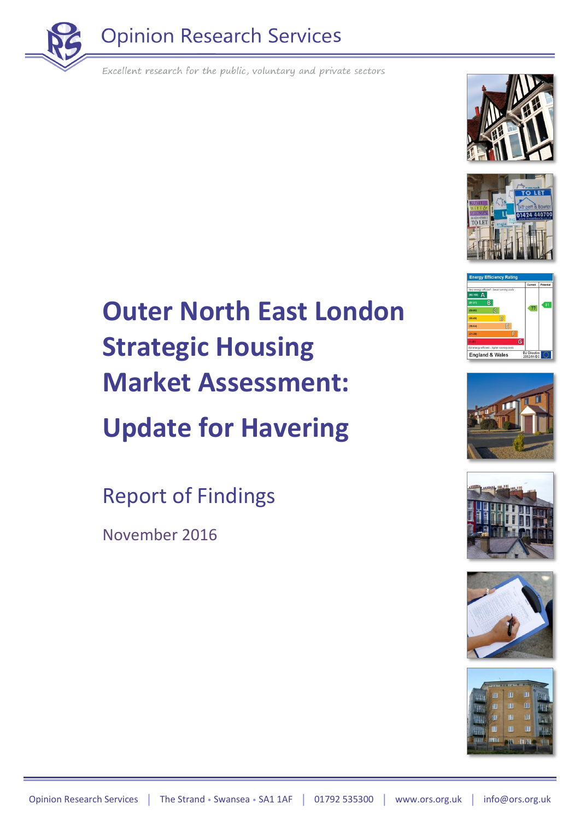





# England & Wales









## **Outer North East London Strategic Housing Market Assessment:**

## **Update for Havering**

Report of Findings

November 2016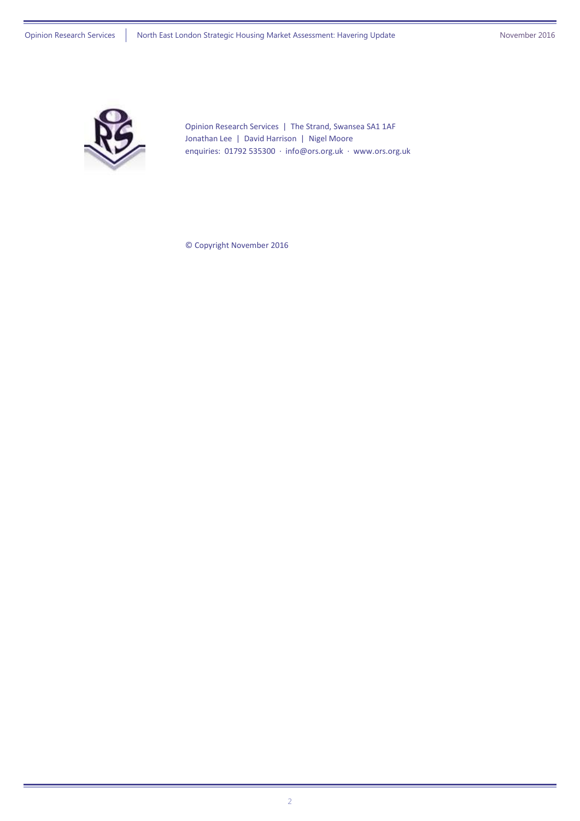

Opinion Research Services | The Strand, Swansea SA1 1AF Jonathan Lee | David Harrison | Nigel Moore enquiries: 01792 535300 · [info@ors.org.uk](mailto:info@ors.org.uk) · [www.ors.org.uk](http://www.ors.org.uk/)

© Copyright November 2016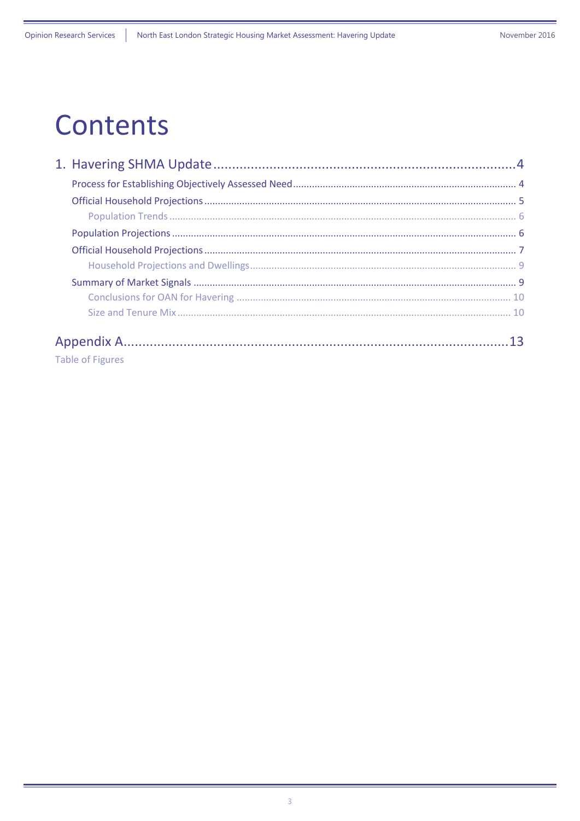## **Contents**

| <b>Table of Figures</b> |  |
|-------------------------|--|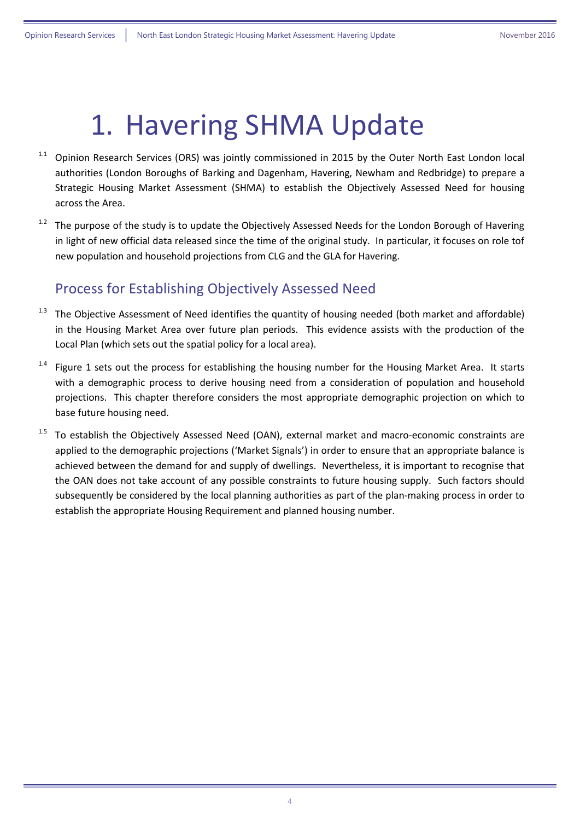## <span id="page-3-0"></span>1. Havering SHMA Update

- $1.1$  Opinion Research Services (ORS) was jointly commissioned in 2015 by the Outer North East London local authorities (London Boroughs of Barking and Dagenham, Havering, Newham and Redbridge) to prepare a Strategic Housing Market Assessment (SHMA) to establish the Objectively Assessed Need for housing across the Area.
- <sup>1.2</sup> The purpose of the study is to update the Objectively Assessed Needs for the London Borough of Havering in light of new official data released since the time of the original study. In particular, it focuses on role tof new population and household projections from CLG and the GLA for Havering.

#### <span id="page-3-1"></span>Process for Establishing Objectively Assessed Need

- The Objective Assessment of Need identifies the quantity of housing needed (both market and affordable) in the Housing Market Area over future plan periods. This evidence assists with the production of the Local Plan (which sets out the spatial policy for a local area).
- <sup>1.4</sup> [Figure 1](#page-4-1) sets out the process for establishing the housing number for the Housing Market Area. It starts with a demographic process to derive housing need from a consideration of population and household projections. This chapter therefore considers the most appropriate demographic projection on which to base future housing need.
- $1.5$  To establish the Objectively Assessed Need (OAN), external market and macro-economic constraints are applied to the demographic projections ('Market Signals') in order to ensure that an appropriate balance is achieved between the demand for and supply of dwellings. Nevertheless, it is important to recognise that the OAN does not take account of any possible constraints to future housing supply. Such factors should subsequently be considered by the local planning authorities as part of the plan-making process in order to establish the appropriate Housing Requirement and planned housing number.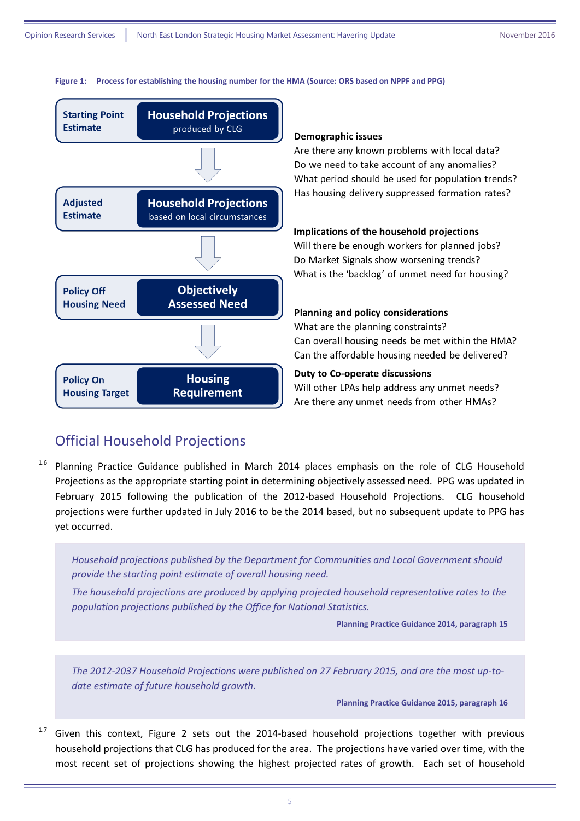<span id="page-4-1"></span>



#### **Demographic issues**

Are there any known problems with local data? Do we need to take account of any anomalies? What period should be used for population trends? Has housing delivery suppressed formation rates?

#### Implications of the household projections

Will there be enough workers for planned jobs? Do Market Signals show worsening trends? What is the 'backlog' of unmet need for housing?

#### Planning and policy considerations

What are the planning constraints? Can overall housing needs be met within the HMA? Can the affordable housing needed be delivered?

#### **Duty to Co-operate discussions**

Will other LPAs help address any unmet needs? Are there any unmet needs from other HMAs?

#### <span id="page-4-0"></span>Official Household Projections

<sup>1.6</sup> Planning Practice Guidance published in March 2014 places emphasis on the role of CLG Household Projections as the appropriate starting point in determining objectively assessed need. PPG was updated in February 2015 following the publication of the 2012-based Household Projections. CLG household projections were further updated in July 2016 to be the 2014 based, but no subsequent update to PPG has yet occurred.

*Household projections published by the Department for Communities and Local Government should provide the starting point estimate of overall housing need.*

*The household projections are produced by applying projected household representative rates to the population projections published by the Office for National Statistics.*

**Planning Practice Guidance 2014, paragraph 15**

*The 2012-2037 Household Projections were published on 27 February 2015, and are the most up-todate estimate of future household growth.*

**Planning Practice Guidance 2015, paragraph 16**

 $1.7$  Given this context, [Figure 2](#page-5-2) sets out the 2014-based household projections together with previous household projections that CLG has produced for the area. The projections have varied over time, with the most recent set of projections showing the highest projected rates of growth. Each set of household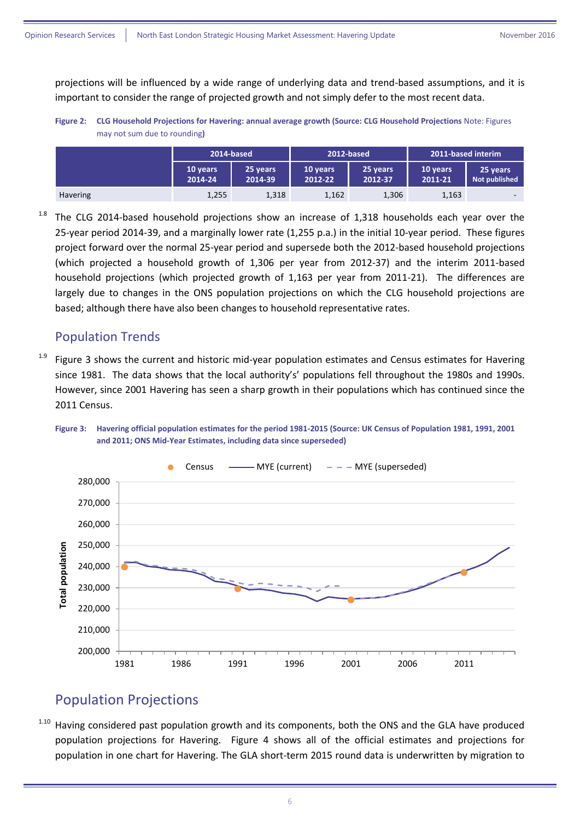projections will be influenced by a wide range of underlying data and trend-based assumptions, and it is important to consider the range of projected growth and not simply defer to the most recent data.

<span id="page-5-2"></span>**Figure 2: CLG Household Projections for Havering: annual average growth (Source: CLG Household Projections** Note: Figures may not sum due to rounding**)**

|                 | 2014-based          |                     | 2012-based          |                     | 2011-based interim  |                                  |
|-----------------|---------------------|---------------------|---------------------|---------------------|---------------------|----------------------------------|
|                 | 10 years<br>2014-24 | 25 years<br>2014-39 | 10 years<br>2012-22 | 25 years<br>2012-37 | 10 years<br>2011-21 | 25 years<br><b>Not published</b> |
| <b>Havering</b> | 1,255               | 1,318               | 1,162               | 1,306               | 1,163               | $\sim$                           |

 $1.8$  The CLG 2014-based household projections show an increase of 1,318 households each year over the 25-year period 2014-39, and a marginally lower rate (1,255 p.a.) in the initial 10-year period. These figures project forward over the normal 25-year period and supersede both the 2012-based household projections (which projected a household growth of 1,306 per year from 2012-37) and the interim 2011-based household projections (which projected growth of 1,163 per year from 2011-21). The differences are largely due to changes in the ONS population projections on which the CLG household projections are based; although there have also been changes to household representative rates.

#### <span id="page-5-0"></span>Population Trends

 $1.9$  [Figure 3](#page-5-3) shows the current and historic mid-year population estimates and Census estimates for Havering since 1981. The data shows that the local authority's' populations fell throughout the 1980s and 1990s. However, since 2001 Havering has seen a sharp growth in their populations which has continued since the 2011 Census.



<span id="page-5-3"></span>

#### <span id="page-5-1"></span>Population Projections

Having considered past population growth and its components, both the ONS and the GLA have produced population projections for Havering. [Figure 4](#page-6-1) shows all of the official estimates and projections for population in one chart for Havering. The GLA short-term 2015 round data is underwritten by migration to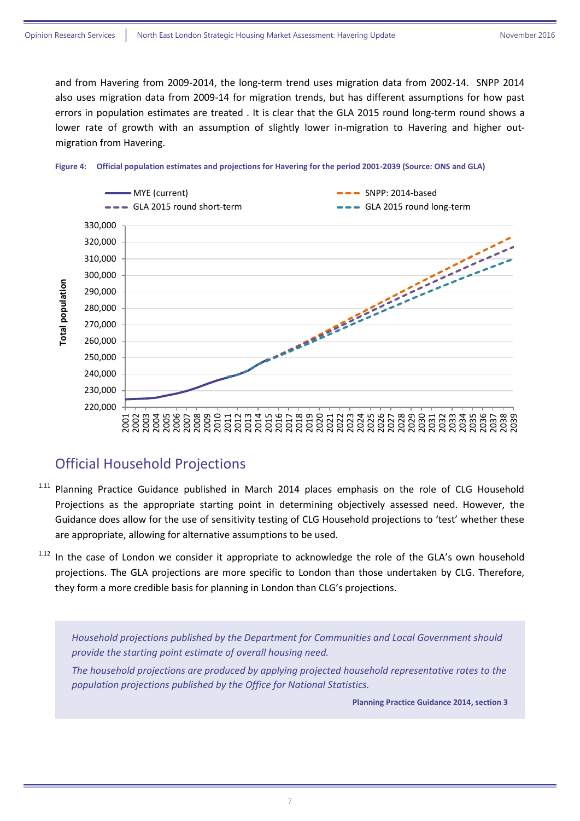and from Havering from 2009-2014, the long-term trend uses migration data from 2002-14. SNPP 2014 also uses migration data from 2009-14 for migration trends, but has different assumptions for how past errors in population estimates are treated . It is clear that the GLA 2015 round long-term round shows a lower rate of growth with an assumption of slightly lower in-migration to Havering and higher outmigration from Havering.



#### <span id="page-6-1"></span>**Figure 4: Official population estimates and projections for Havering for the period 2001-2039 (Source: ONS and GLA)**

#### <span id="page-6-0"></span>Official Household Projections

- <sup>1.11</sup> Planning Practice Guidance published in March 2014 places emphasis on the role of CLG Household Projections as the appropriate starting point in determining objectively assessed need. However, the Guidance does allow for the use of sensitivity testing of CLG Household projections to 'test' whether these are appropriate, allowing for alternative assumptions to be used.
- <sup>1.12</sup> In the case of London we consider it appropriate to acknowledge the role of the GLA's own household projections. The GLA projections are more specific to London than those undertaken by CLG. Therefore, they form a more credible basis for planning in London than CLG's projections.

*Household projections published by the Department for Communities and Local Government should provide the starting point estimate of overall housing need.*

*The household projections are produced by applying projected household representative rates to the population projections published by the Office for National Statistics.*

**Planning Practice Guidance 2014, section 3**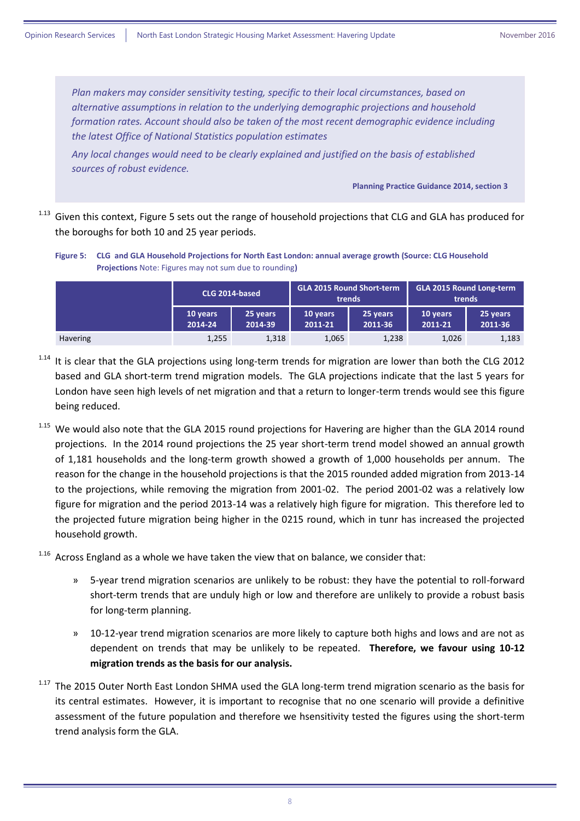*Plan makers may consider sensitivity testing, specific to their local circumstances, based on alternative assumptions in relation to the underlying demographic projections and household formation rates. Account should also be taken of the most recent demographic evidence including the latest Office of National Statistics population estimates*

*Any local changes would need to be clearly explained and justified on the basis of established sources of robust evidence.*

**Planning Practice Guidance 2014, section 3**

<sup>1.13</sup> Given this context, [Figure 5](#page-7-0) sets out the range of household projections that CLG and GLA has produced for the boroughs for both 10 and 25 year periods.

<span id="page-7-0"></span>**Figure 5: CLG and GLA Household Projections for North East London: annual average growth (Source: CLG Household Projections** Note: Figures may not sum due to rounding**)**

|                 | CLG 2014-based      |                     | <b>GLA 2015 Round Short-term</b><br>trends |                     | <b>GLA 2015 Round Long-term</b><br>trends |                     |
|-----------------|---------------------|---------------------|--------------------------------------------|---------------------|-------------------------------------------|---------------------|
|                 | 10 years<br>2014-24 | 25 years<br>2014-39 | 10 years<br>2011-21                        | 25 years<br>2011-36 | 10 years<br>2011-21                       | 25 years<br>2011-36 |
| <b>Havering</b> | 1,255               | 1,318               | 1,065                                      | 1,238               | 1,026                                     | 1,183               |

<sup>1.14</sup> It is clear that the GLA projections using long-term trends for migration are lower than both the CLG 2012 based and GLA short-term trend migration models. The GLA projections indicate that the last 5 years for London have seen high levels of net migration and that a return to longer-term trends would see this figure being reduced.

<sup>1.15</sup> We would also note that the GLA 2015 round projections for Havering are higher than the GLA 2014 round projections. In the 2014 round projections the 25 year short-term trend model showed an annual growth of 1,181 households and the long-term growth showed a growth of 1,000 households per annum. The reason for the change in the household projections is that the 2015 rounded added migration from 2013-14 to the projections, while removing the migration from 2001-02. The period 2001-02 was a relatively low figure for migration and the period 2013-14 was a relatively high figure for migration. This therefore led to the projected future migration being higher in the 0215 round, which in tunr has increased the projected household growth.

 $1.16$  Across England as a whole we have taken the view that on balance, we consider that:

- » 5-year trend migration scenarios are unlikely to be robust: they have the potential to roll-forward short-term trends that are unduly high or low and therefore are unlikely to provide a robust basis for long-term planning.
- » 10-12-year trend migration scenarios are more likely to capture both highs and lows and are not as dependent on trends that may be unlikely to be repeated. **Therefore, we favour using 10-12 migration trends as the basis for our analysis.**
- <sup>1.17</sup> The 2015 Outer North East London SHMA used the GLA long-term trend migration scenario as the basis for its central estimates. However, it is important to recognise that no one scenario will provide a definitive assessment of the future population and therefore we hsensitivity tested the figures using the short-term trend analysis form the GLA.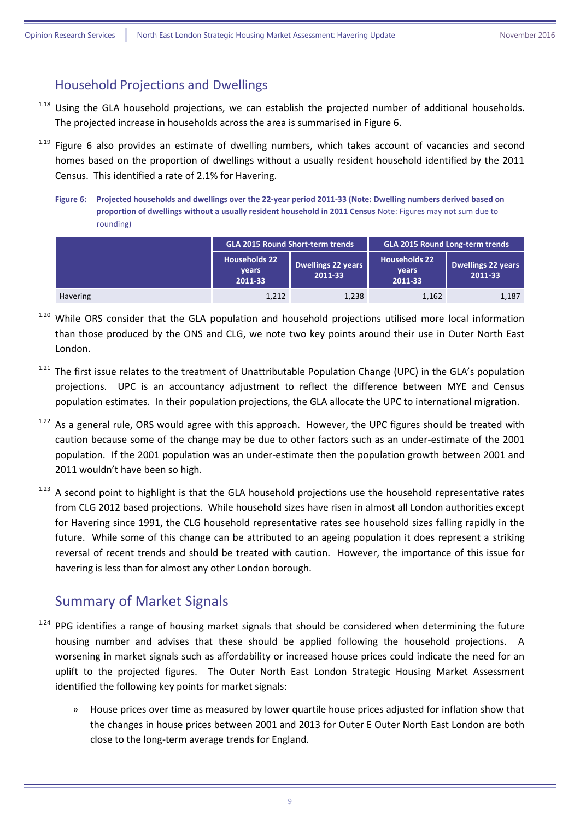#### <span id="page-8-0"></span>Household Projections and Dwellings

- <sup>1.18</sup> Using the GLA household projections, we can establish the projected number of additional households. The projected increase in households across the area is summarised i[n Figure 6.](#page-8-2)
- <sup>1.19</sup> [Figure 6](#page-8-2) also provides an estimate of dwelling numbers, which takes account of vacancies and second homes based on the proportion of dwellings without a usually resident household identified by the 2011 Census. This identified a rate of 2.1% for Havering.
	- **Figure 6: Projected households and dwellings over the 22-year period 2011-33 (Note: Dwelling numbers derived based on proportion of dwellings without a usually resident household in 2011 Census** Note: Figures may not sum due to rounding)

<span id="page-8-2"></span>

|                 | <b>GLA 2015 Round Short-term trends</b><br><b>Households 22</b><br><b>Dwellings 22 years</b><br><b>vears</b><br>2011-33<br>2011-33 |       | <b>GLA 2015 Round Long-term trends</b>          |                               |  |
|-----------------|------------------------------------------------------------------------------------------------------------------------------------|-------|-------------------------------------------------|-------------------------------|--|
|                 |                                                                                                                                    |       | <b>Households 22</b><br><b>vears</b><br>2011-33 | Dwellings 22 years<br>2011-33 |  |
| <b>Havering</b> | 1,212                                                                                                                              | 1,238 | 1,162                                           | 1,187                         |  |

- <sup>1.20</sup> While ORS consider that the GLA population and household projections utilised more local information than those produced by the ONS and CLG, we note two key points around their use in Outer North East London.
- <sup>1.21</sup> The first issue relates to the treatment of Unattributable Population Change (UPC) in the GLA's population projections. UPC is an accountancy adjustment to reflect the difference between MYE and Census population estimates. In their population projections, the GLA allocate the UPC to international migration.
- <sup>1.22</sup> As a general rule, ORS would agree with this approach. However, the UPC figures should be treated with caution because some of the change may be due to other factors such as an under-estimate of the 2001 population. If the 2001 population was an under-estimate then the population growth between 2001 and 2011 wouldn't have been so high.
- 1.23 A second point to highlight is that the GLA household projections use the household representative rates from CLG 2012 based projections. While household sizes have risen in almost all London authorities except for Havering since 1991, the CLG household representative rates see household sizes falling rapidly in the future. While some of this change can be attributed to an ageing population it does represent a striking reversal of recent trends and should be treated with caution. However, the importance of this issue for havering is less than for almost any other London borough.

#### <span id="page-8-1"></span>Summary of Market Signals

- 1.24 PPG identifies a range of housing market signals that should be considered when determining the future housing number and advises that these should be applied following the household projections. A worsening in market signals such as affordability or increased house prices could indicate the need for an uplift to the projected figures. The Outer North East London Strategic Housing Market Assessment identified the following key points for market signals:
	- » House prices over time as measured by lower quartile house prices adjusted for inflation show that the changes in house prices between 2001 and 2013 for Outer E Outer North East London are both close to the long-term average trends for England.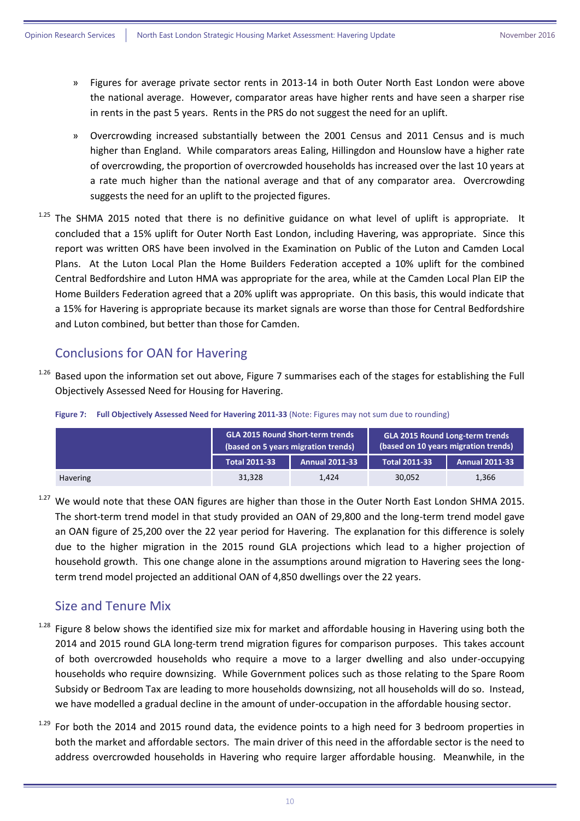- » Figures for average private sector rents in 2013-14 in both Outer North East London were above the national average. However, comparator areas have higher rents and have seen a sharper rise in rents in the past 5 years. Rents in the PRS do not suggest the need for an uplift.
- » Overcrowding increased substantially between the 2001 Census and 2011 Census and is much higher than England. While comparators areas Ealing, Hillingdon and Hounslow have a higher rate of overcrowding, the proportion of overcrowded households has increased over the last 10 years at a rate much higher than the national average and that of any comparator area. Overcrowding suggests the need for an uplift to the projected figures.
- The SHMA 2015 noted that there is no definitive guidance on what level of uplift is appropriate. It concluded that a 15% uplift for Outer North East London, including Havering, was appropriate. Since this report was written ORS have been involved in the Examination on Public of the Luton and Camden Local Plans. At the Luton Local Plan the Home Builders Federation accepted a 10% uplift for the combined Central Bedfordshire and Luton HMA was appropriate for the area, while at the Camden Local Plan EIP the Home Builders Federation agreed that a 20% uplift was appropriate. On this basis, this would indicate that a 15% for Havering is appropriate because its market signals are worse than those for Central Bedfordshire and Luton combined, but better than those for Camden.

#### <span id="page-9-0"></span>Conclusions for OAN for Havering

<sup>1.26</sup> Based upon the information set out above, [Figure 7](#page-9-2) summarises each of the stages for establishing the Full Objectively Assessed Need for Housing for Havering.

|  | <b>GLA 2015 Round Short-term trends</b>                                                                          | <b>GLA 2015 Round Long-teri</b> |
|--|------------------------------------------------------------------------------------------------------------------|---------------------------------|
|  | in growing the component of the concentration of the component of proton in growing that component the component |                                 |

<span id="page-9-2"></span>**Figure 7: Full Objectively Assessed Need for Havering 2011-33** (Note: Figures may not sum due to rounding)

|                 |                      | <b>GLA 2015 Round Short-term trends</b><br>(based on 5 years migration trends) | <b>GLA 2015 Round Long-term trends</b><br>(based on 10 years migration trends) |                       |  |
|-----------------|----------------------|--------------------------------------------------------------------------------|--------------------------------------------------------------------------------|-----------------------|--|
|                 | <b>Total 2011-33</b> | <b>Annual 2011-33</b>                                                          | <b>Total 2011-33</b>                                                           | <b>Annual 2011-33</b> |  |
| <b>Havering</b> | 31.328               | 1.424                                                                          | 30.052                                                                         | 1.366                 |  |

<sup>1.27</sup> We would note that these OAN figures are higher than those in the Outer North East London SHMA 2015. The short-term trend model in that study provided an OAN of 29,800 and the long-term trend model gave an OAN figure of 25,200 over the 22 year period for Havering. The explanation for this difference is solely due to the higher migration in the 2015 round GLA projections which lead to a higher projection of household growth. This one change alone in the assumptions around migration to Havering sees the longterm trend model projected an additional OAN of 4,850 dwellings over the 22 years.

#### <span id="page-9-1"></span>Size and Tenure Mix

- <sup>1.28</sup> [Figure 8](#page-10-0) below shows the identified size mix for market and affordable housing in Havering using both the 2014 and 2015 round GLA long-term trend migration figures for comparison purposes. This takes account of both overcrowded households who require a move to a larger dwelling and also under-occupying households who require downsizing. While Government polices such as those relating to the Spare Room Subsidy or Bedroom Tax are leading to more households downsizing, not all households will do so. Instead, we have modelled a gradual decline in the amount of under-occupation in the affordable housing sector.
- $1.29$  For both the 2014 and 2015 round data, the evidence points to a high need for 3 bedroom properties in both the market and affordable sectors. The main driver of this need in the affordable sector is the need to address overcrowded households in Havering who require larger affordable housing. Meanwhile, in the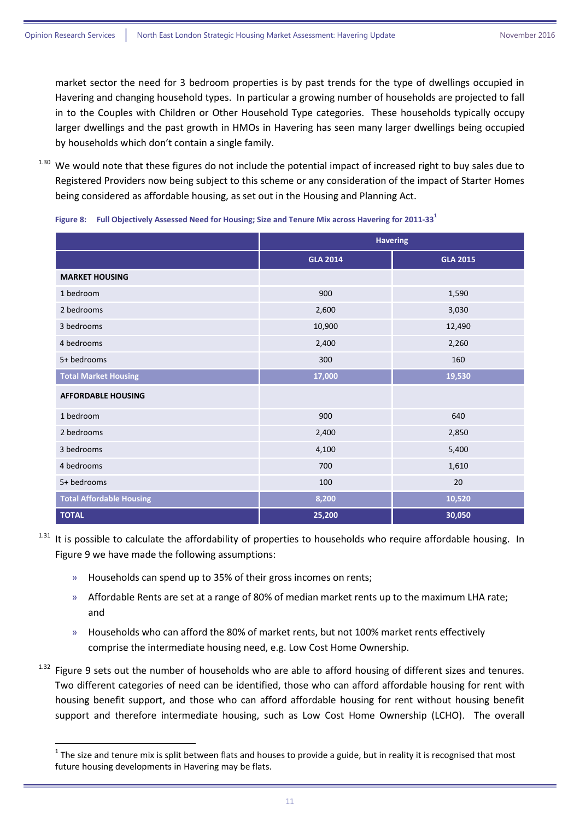market sector the need for 3 bedroom properties is by past trends for the type of dwellings occupied in Havering and changing household types. In particular a growing number of households are projected to fall in to the Couples with Children or Other Household Type categories. These households typically occupy larger dwellings and the past growth in HMOs in Havering has seen many larger dwellings being occupied by households which don't contain a single family.

<sup>1.30</sup> We would note that these figures do not include the potential impact of increased right to buy sales due to Registered Providers now being subject to this scheme or any consideration of the impact of Starter Homes being considered as affordable housing, as set out in the Housing and Planning Act.

|                                 | <b>Havering</b> |                 |  |
|---------------------------------|-----------------|-----------------|--|
|                                 | <b>GLA 2014</b> | <b>GLA 2015</b> |  |
| <b>MARKET HOUSING</b>           |                 |                 |  |
| 1 bedroom                       | 900             | 1,590           |  |
| 2 bedrooms                      | 2,600           | 3,030           |  |
| 3 bedrooms                      | 10,900          | 12,490          |  |
| 4 bedrooms                      | 2,400           | 2,260           |  |
| 5+ bedrooms                     | 300             | 160             |  |
| <b>Total Market Housing</b>     | 17,000          | 19,530          |  |
| <b>AFFORDABLE HOUSING</b>       |                 |                 |  |
| 1 bedroom                       | 900             | 640             |  |
| 2 bedrooms                      | 2,400           | 2,850           |  |
| 3 bedrooms                      | 4,100           | 5,400           |  |
| 4 bedrooms                      | 700             | 1,610           |  |
| 5+ bedrooms                     | 100             | 20              |  |
| <b>Total Affordable Housing</b> | 8,200           | 10,520          |  |
| <b>TOTAL</b>                    | 25,200          | 30,050          |  |

<span id="page-10-0"></span>**Figure 8: Full Objectively Assessed Need for Housing; Size and Tenure Mix across Havering for 2011-33 1**

- <sup>1.31</sup> It is possible to calculate the affordability of properties to households who require affordable housing. In [Figure 9](#page-11-0) we have made the following assumptions:
	- » Households can spend up to 35% of their gross incomes on rents;

**.** 

- » Affordable Rents are set at a range of 80% of median market rents up to the maximum LHA rate; and
- » Households who can afford the 80% of market rents, but not 100% market rents effectively comprise the intermediate housing need, e.g. Low Cost Home Ownership.
- 1.32 [Figure 9](#page-11-0) sets out the number of households who are able to afford housing of different sizes and tenures. Two different categories of need can be identified, those who can afford affordable housing for rent with housing benefit support, and those who can afford affordable housing for rent without housing benefit support and therefore intermediate housing, such as Low Cost Home Ownership (LCHO). The overall

 $1$  The size and tenure mix is split between flats and houses to provide a guide, but in reality it is recognised that most future housing developments in Havering may be flats.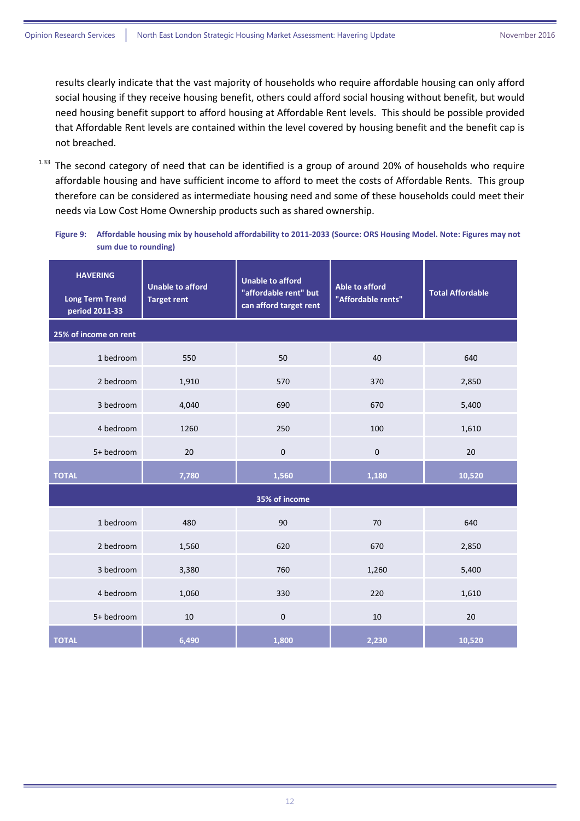results clearly indicate that the vast majority of households who require affordable housing can only afford social housing if they receive housing benefit, others could afford social housing without benefit, but would need housing benefit support to afford housing at Affordable Rent levels. This should be possible provided that Affordable Rent levels are contained within the level covered by housing benefit and the benefit cap is not breached.

 $1.33$  The second category of need that can be identified is a group of around 20% of households who require affordable housing and have sufficient income to afford to meet the costs of Affordable Rents. This group therefore can be considered as intermediate housing need and some of these households could meet their needs via Low Cost Home Ownership products such as shared ownership.

<span id="page-11-0"></span>**Figure 9: Affordable housing mix by household affordability to 2011-2033 (Source: ORS Housing Model. Note: Figures may not sum due to rounding)**

| <b>HAVERING</b><br><b>Long Term Trend</b><br>period 2011-33 | <b>Unable to afford</b><br><b>Target rent</b> | <b>Unable to afford</b><br>"affordable rent" but<br>can afford target rent | <b>Able to afford</b><br>"Affordable rents" | <b>Total Affordable</b> |
|-------------------------------------------------------------|-----------------------------------------------|----------------------------------------------------------------------------|---------------------------------------------|-------------------------|
| 25% of income on rent                                       |                                               |                                                                            |                                             |                         |
| 1 bedroom                                                   | 550                                           | 50                                                                         | 40                                          | 640                     |
| 2 bedroom                                                   | 1,910                                         | 570                                                                        | 370                                         | 2,850                   |
| 3 bedroom                                                   | 4,040                                         | 690                                                                        | 670                                         | 5,400                   |
| 4 bedroom                                                   | 1260                                          | 250                                                                        | 100                                         | 1,610                   |
| 5+ bedroom                                                  | 20                                            | $\pmb{0}$                                                                  | $\mathbf 0$                                 | 20                      |
| <b>TOTAL</b>                                                | 7,780                                         | 1,560                                                                      | 1,180                                       | 10,520                  |
|                                                             |                                               | 35% of income                                                              |                                             |                         |
| 1 bedroom                                                   | 480                                           | 90                                                                         | 70                                          | 640                     |
| 2 bedroom                                                   | 1,560                                         | 620                                                                        | 670                                         | 2,850                   |
| 3 bedroom                                                   | 3,380                                         | 760                                                                        | 1,260                                       | 5,400                   |
| 4 bedroom                                                   | 1,060                                         | 330                                                                        | 220                                         | 1,610                   |
| 5+ bedroom                                                  | 10                                            | $\pmb{0}$                                                                  | 10                                          | 20                      |
| <b>TOTAL</b>                                                | 6,490                                         | 1,800                                                                      | 2,230                                       | 10,520                  |